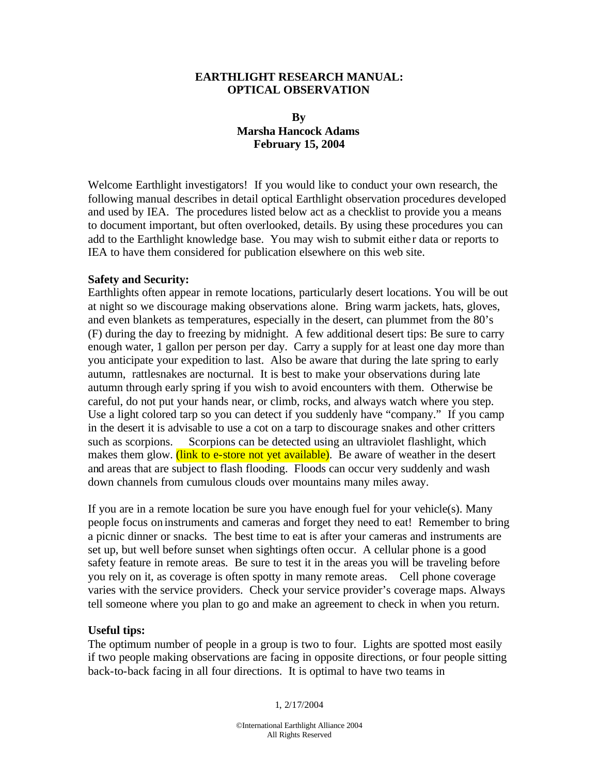### **EARTHLIGHT RESEARCH MANUAL: OPTICAL OBSERVATION**

## **By Marsha Hancock Adams February 15, 2004**

Welcome Earthlight investigators! If you would like to conduct your own research, the following manual describes in detail optical Earthlight observation procedures developed and used by IEA. The procedures listed below act as a checklist to provide you a means to document important, but often overlooked, details. By using these procedures you can add to the Earthlight knowledge base. You may wish to submit eithe r data or reports to IEA to have them considered for publication elsewhere on this web site.

### **Safety and Security:**

Earthlights often appear in remote locations, particularly desert locations. You will be out at night so we discourage making observations alone. Bring warm jackets, hats, gloves, and even blankets as temperatures, especially in the desert, can plummet from the 80's (F) during the day to freezing by midnight. A few additional desert tips: Be sure to carry enough water, 1 gallon per person per day. Carry a supply for at least one day more than you anticipate your expedition to last. Also be aware that during the late spring to early autumn, rattlesnakes are nocturnal. It is best to make your observations during late autumn through early spring if you wish to avoid encounters with them. Otherwise be careful, do not put your hands near, or climb, rocks, and always watch where you step. Use a light colored tarp so you can detect if you suddenly have "company." If you camp in the desert it is advisable to use a cot on a tarp to discourage snakes and other critters such as scorpions. Scorpions can be detected using an ultraviolet flashlight, which makes them glow. (link to e-store not yet available). Be aware of weather in the desert and areas that are subject to flash flooding. Floods can occur very suddenly and wash down channels from cumulous clouds over mountains many miles away.

If you are in a remote location be sure you have enough fuel for your vehicle(s). Many people focus on instruments and cameras and forget they need to eat! Remember to bring a picnic dinner or snacks. The best time to eat is after your cameras and instruments are set up, but well before sunset when sightings often occur. A cellular phone is a good safety feature in remote areas. Be sure to test it in the areas you will be traveling before you rely on it, as coverage is often spotty in many remote areas. Cell phone coverage varies with the service providers. Check your service provider's coverage maps. Always tell someone where you plan to go and make an agreement to check in when you return.

## **Useful tips:**

The optimum number of people in a group is two to four. Lights are spotted most easily if two people making observations are facing in opposite directions, or four people sitting back-to-back facing in all four directions. It is optimal to have two teams in

1, 2/17/2004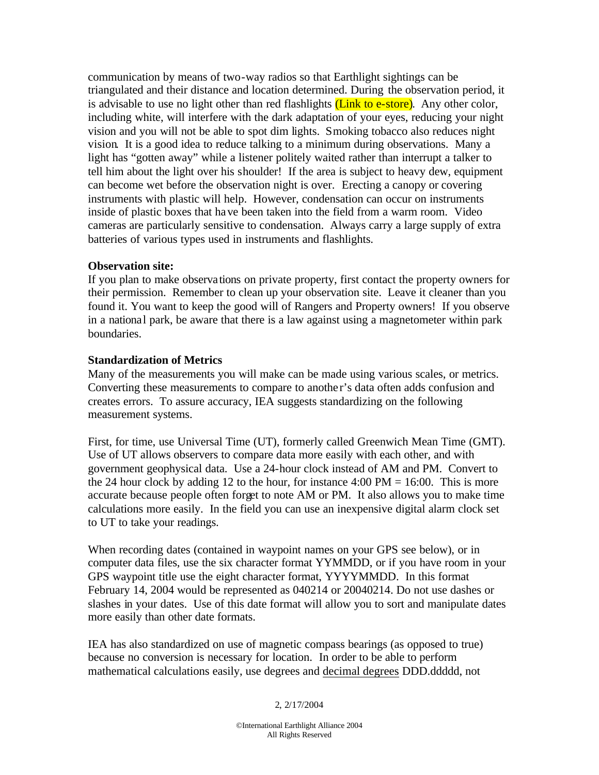communication by means of two-way radios so that Earthlight sightings can be triangulated and their distance and location determined. During the observation period, it is advisable to use no light other than red flashlights (Link to e-store). Any other color, including white, will interfere with the dark adaptation of your eyes, reducing your night vision and you will not be able to spot dim lights. Smoking tobacco also reduces night vision. It is a good idea to reduce talking to a minimum during observations. Many a light has "gotten away" while a listener politely waited rather than interrupt a talker to tell him about the light over his shoulder! If the area is subject to heavy dew, equipment can become wet before the observation night is over. Erecting a canopy or covering instruments with plastic will help. However, condensation can occur on instruments inside of plastic boxes that have been taken into the field from a warm room. Video cameras are particularly sensitive to condensation. Always carry a large supply of extra batteries of various types used in instruments and flashlights.

### **Observation site:**

If you plan to make observations on private property, first contact the property owners for their permission. Remember to clean up your observation site. Leave it cleaner than you found it. You want to keep the good will of Rangers and Property owners! If you observe in a national park, be aware that there is a law against using a magnetometer within park boundaries.

### **Standardization of Metrics**

Many of the measurements you will make can be made using various scales, or metrics. Converting these measurements to compare to anothe r's data often adds confusion and creates errors. To assure accuracy, IEA suggests standardizing on the following measurement systems.

First, for time, use Universal Time (UT), formerly called Greenwich Mean Time (GMT). Use of UT allows observers to compare data more easily with each other, and with government geophysical data. Use a 24-hour clock instead of AM and PM. Convert to the 24 hour clock by adding 12 to the hour, for instance  $4:00 \text{ PM} = 16:00$ . This is more accurate because people often forget to note AM or PM. It also allows you to make time calculations more easily. In the field you can use an inexpensive digital alarm clock set to UT to take your readings.

When recording dates (contained in waypoint names on your GPS see below), or in computer data files, use the six character format YYMMDD, or if you have room in your GPS waypoint title use the eight character format, YYYYMMDD. In this format February 14, 2004 would be represented as 040214 or 20040214. Do not use dashes or slashes in your dates. Use of this date format will allow you to sort and manipulate dates more easily than other date formats.

IEA has also standardized on use of magnetic compass bearings (as opposed to true) because no conversion is necessary for location. In order to be able to perform mathematical calculations easily, use degrees and decimal degrees DDD.ddddd, not

### 2, 2/17/2004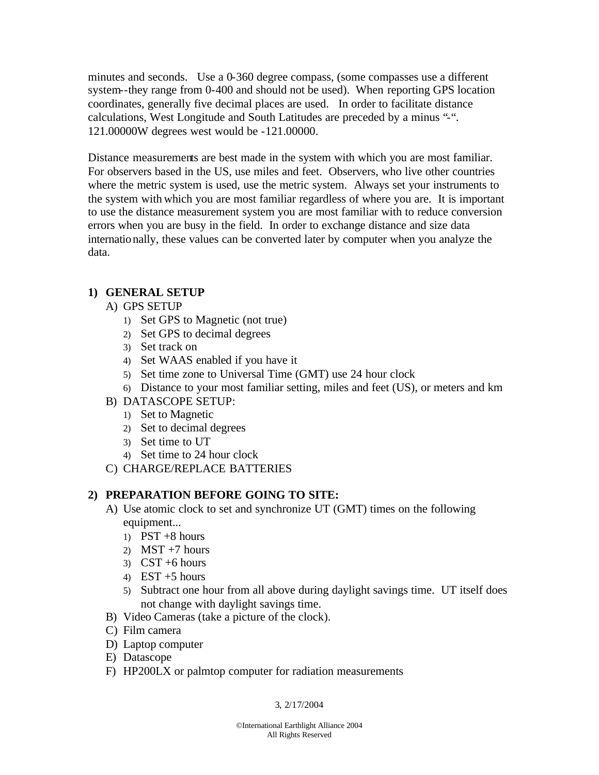minutes and seconds. Use a 0-360 degree compass, (some compasses use a different system--they range from 0-400 and should not be used). When reporting GPS location coordinates, generally five decimal places are used. In order to facilitate distance calculations, West Longitude and South Latitudes are preceded by a minus "-". 121.00000W degrees west would be -121.00000.

Distance measurements are best made in the system with which you are most familiar. For observers based in the US, use miles and feet. Observers, who live other countries where the metric system is used, use the metric system. Always set your instruments to the system with which you are most familiar regardless of where you are. It is important to use the distance measurement system you are most familiar with to reduce conversion errors when you are busy in the field. In order to exchange distance and size data internationally, these values can be converted later by computer when you analyze the data.

# **1) GENERAL SETUP**

- A) GPS SETUP
	- 1) Set GPS to Magnetic (not true)
	- 2) Set GPS to decimal degrees
	- 3) Set track on
	- 4) Set WAAS enabled if you have it
	- 5) Set time zone to Universal Time (GMT) use 24 hour clock
	- 6) Distance to your most familiar setting, miles and feet (US), or meters and km
- B) DATASCOPE SETUP:
	- 1) Set to Magnetic
	- 2) Set to decimal degrees
	- 3) Set time to UT
	- 4) Set time to 24 hour clock
- C) CHARGE/REPLACE BATTERIES

# **2) PREPARATION BEFORE GOING TO SITE:**

- A) Use atomic clock to set and synchronize UT (GMT) times on the following equipment...
	- 1) PST  $+8$  hours
	- 2) MST  $+7$  hours
	- $3)$  CST +6 hours
	- 4) EST  $+5$  hours
	- 5) Subtract one hour from all above during daylight savings time. UT itself does not change with daylight savings time.
- B) Video Cameras (take a picture of the clock).
- C) Film camera
- D) Laptop computer
- E) Datascope
- F) HP200LX or palmtop computer for radiation measurements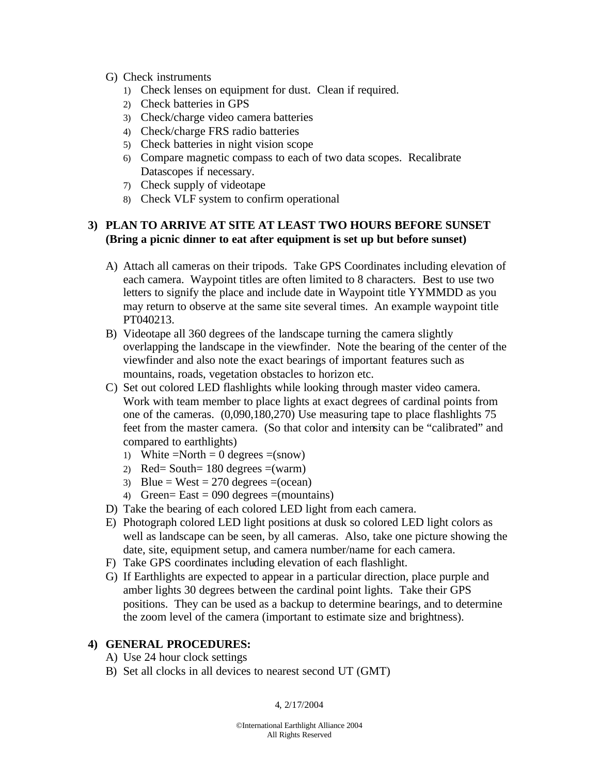- G) Check instruments
	- 1) Check lenses on equipment for dust. Clean if required.
	- 2) Check batteries in GPS
	- 3) Check/charge video camera batteries
	- 4) Check/charge FRS radio batteries
	- 5) Check batteries in night vision scope
	- 6) Compare magnetic compass to each of two data scopes. Recalibrate Datascopes if necessary.
	- 7) Check supply of videotape
	- 8) Check VLF system to confirm operational

## **3) PLAN TO ARRIVE AT SITE AT LEAST TWO HOURS BEFORE SUNSET (Bring a picnic dinner to eat after equipment is set up but before sunset)**

- A) Attach all cameras on their tripods. Take GPS Coordinates including elevation of each camera. Waypoint titles are often limited to 8 characters. Best to use two letters to signify the place and include date in Waypoint title YYMMDD as you may return to observe at the same site several times. An example waypoint title PT040213.
- B) Videotape all 360 degrees of the landscape turning the camera slightly overlapping the landscape in the viewfinder. Note the bearing of the center of the viewfinder and also note the exact bearings of important features such as mountains, roads, vegetation obstacles to horizon etc.
- C) Set out colored LED flashlights while looking through master video camera. Work with team member to place lights at exact degrees of cardinal points from one of the cameras. (0,090,180,270) Use measuring tape to place flashlights 75 feet from the master camera. (So that color and intensity can be "calibrated" and compared to earthlights)
	- 1) White  $=North = 0$  degrees  $=(snow)$
	- 2) Red= South=  $180$  degrees =(warm)
	- 3) Blue = West = 270 degrees =  $(ocean)$
	- 4) Green= East = 090 degrees =(mountains)
- D) Take the bearing of each colored LED light from each camera.
- E) Photograph colored LED light positions at dusk so colored LED light colors as well as landscape can be seen, by all cameras. Also, take one picture showing the date, site, equipment setup, and camera number/name for each camera.
- F) Take GPS coordinates including elevation of each flashlight.
- G) If Earthlights are expected to appear in a particular direction, place purple and amber lights 30 degrees between the cardinal point lights. Take their GPS positions. They can be used as a backup to determine bearings, and to determine the zoom level of the camera (important to estimate size and brightness).

### **4) GENERAL PROCEDURES:**

- A) Use 24 hour clock settings
- B) Set all clocks in all devices to nearest second UT (GMT)

4, 2/17/2004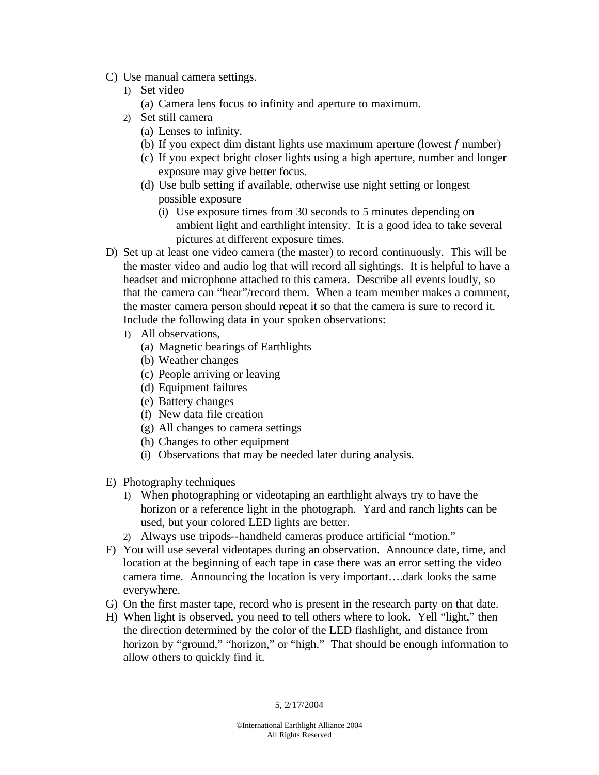- C) Use manual camera settings.
	- 1) Set video
		- (a) Camera lens focus to infinity and aperture to maximum.
	- 2) Set still camera
		- (a) Lenses to infinity.
		- (b) If you expect dim distant lights use maximum aperture (lowest *f* number)
		- (c) If you expect bright closer lights using a high aperture, number and longer exposure may give better focus.
		- (d) Use bulb setting if available, otherwise use night setting or longest possible exposure
			- (i) Use exposure times from 30 seconds to 5 minutes depending on ambient light and earthlight intensity. It is a good idea to take several pictures at different exposure times.
- D) Set up at least one video camera (the master) to record continuously. This will be the master video and audio log that will record all sightings. It is helpful to have a headset and microphone attached to this camera. Describe all events loudly, so that the camera can "hear"/record them. When a team member makes a comment, the master camera person should repeat it so that the camera is sure to record it. Include the following data in your spoken observations:
	- 1) All observations,
		- (a) Magnetic bearings of Earthlights
		- (b) Weather changes
		- (c) People arriving or leaving
		- (d) Equipment failures
		- (e) Battery changes
		- (f) New data file creation
		- (g) All changes to camera settings
		- (h) Changes to other equipment
		- (i) Observations that may be needed later during analysis.
- E) Photography techniques
	- 1) When photographing or videotaping an earthlight always try to have the horizon or a reference light in the photograph. Yard and ranch lights can be used, but your colored LED lights are better.
	- 2) Always use tripods--handheld cameras produce artificial "motion."
- F) You will use several videotapes during an observation. Announce date, time, and location at the beginning of each tape in case there was an error setting the video camera time. Announcing the location is very important….dark looks the same everywhere.
- G) On the first master tape, record who is present in the research party on that date.
- H) When light is observed, you need to tell others where to look. Yell "light," then the direction determined by the color of the LED flashlight, and distance from horizon by "ground," "horizon," or "high." That should be enough information to allow others to quickly find it.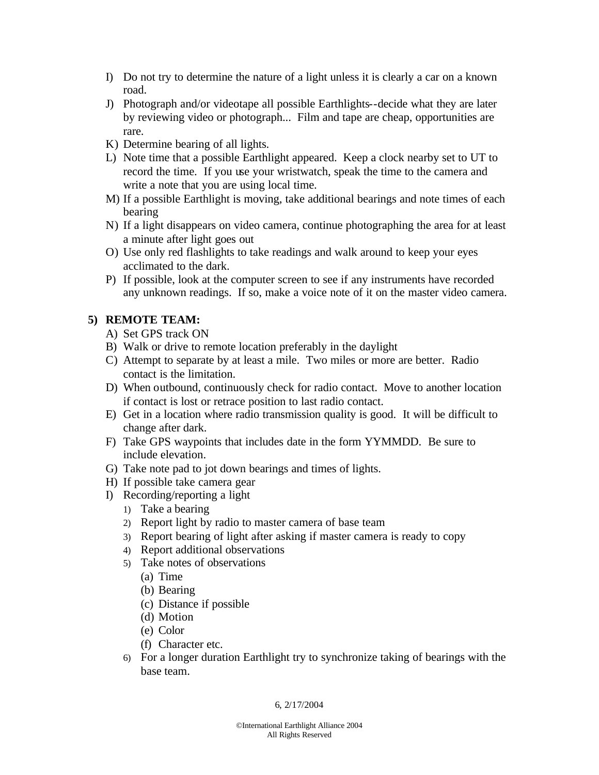- I) Do not try to determine the nature of a light unless it is clearly a car on a known road.
- J) Photograph and/or videotape all possible Earthlights--decide what they are later by reviewing video or photograph... Film and tape are cheap, opportunities are rare.
- K) Determine bearing of all lights.
- L) Note time that a possible Earthlight appeared. Keep a clock nearby set to UT to record the time. If you use your wristwatch, speak the time to the camera and write a note that you are using local time.
- M) If a possible Earthlight is moving, take additional bearings and note times of each bearing
- N) If a light disappears on video camera, continue photographing the area for at least a minute after light goes out
- O) Use only red flashlights to take readings and walk around to keep your eyes acclimated to the dark.
- P) If possible, look at the computer screen to see if any instruments have recorded any unknown readings. If so, make a voice note of it on the master video camera.

## **5) REMOTE TEAM:**

- A) Set GPS track ON
- B) Walk or drive to remote location preferably in the daylight
- C) Attempt to separate by at least a mile. Two miles or more are better. Radio contact is the limitation.
- D) When outbound, continuously check for radio contact. Move to another location if contact is lost or retrace position to last radio contact.
- E) Get in a location where radio transmission quality is good. It will be difficult to change after dark.
- F) Take GPS waypoints that includes date in the form YYMMDD. Be sure to include elevation.
- G) Take note pad to jot down bearings and times of lights.
- H) If possible take camera gear
- I) Recording/reporting a light
	- 1) Take a bearing
	- 2) Report light by radio to master camera of base team
	- 3) Report bearing of light after asking if master camera is ready to copy
	- 4) Report additional observations
	- 5) Take notes of observations
		- (a) Time
		- (b) Bearing
		- (c) Distance if possible
		- (d) Motion
		- (e) Color
		- (f) Character etc.
	- 6) For a longer duration Earthlight try to synchronize taking of bearings with the base team.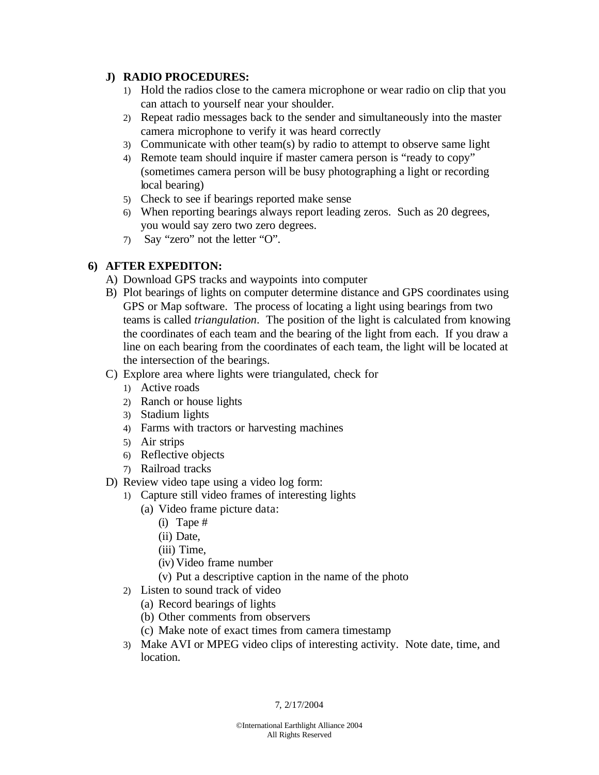## **J) RADIO PROCEDURES:**

- 1) Hold the radios close to the camera microphone or wear radio on clip that you can attach to yourself near your shoulder.
- 2) Repeat radio messages back to the sender and simultaneously into the master camera microphone to verify it was heard correctly
- 3) Communicate with other team(s) by radio to attempt to observe same light
- 4) Remote team should inquire if master camera person is "ready to copy" (sometimes camera person will be busy photographing a light or recording local bearing)
- 5) Check to see if bearings reported make sense
- 6) When reporting bearings always report leading zeros. Such as 20 degrees, you would say zero two zero degrees.
- 7) Say "zero" not the letter "O".

## **6) AFTER EXPEDITON:**

- A) Download GPS tracks and waypoints into computer
- B) Plot bearings of lights on computer determine distance and GPS coordinates using GPS or Map software. The process of locating a light using bearings from two teams is called *triangulation*. The position of the light is calculated from knowing the coordinates of each team and the bearing of the light from each. If you draw a line on each bearing from the coordinates of each team, the light will be located at the intersection of the bearings.
- C) Explore area where lights were triangulated, check for
	- 1) Active roads
	- 2) Ranch or house lights
	- 3) Stadium lights
	- 4) Farms with tractors or harvesting machines
	- 5) Air strips
	- 6) Reflective objects
	- 7) Railroad tracks
- D) Review video tape using a video log form:
	- 1) Capture still video frames of interesting lights
		- (a) Video frame picture data:
			- (i) Tape #
			- (ii) Date,
			- (iii) Time,
			- (iv) Video frame number
			- (v) Put a descriptive caption in the name of the photo
		- 2) Listen to sound track of video
			- (a) Record bearings of lights
			- (b) Other comments from observers
			- (c) Make note of exact times from camera timestamp
		- 3) Make AVI or MPEG video clips of interesting activity. Note date, time, and location.